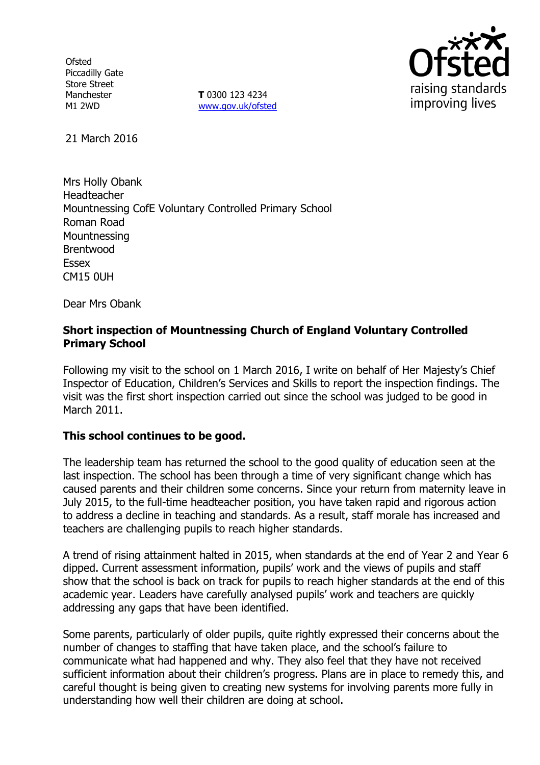**Ofsted** Piccadilly Gate Store Street Manchester M1 2WD

**T** 0300 123 4234 www.gov.uk/ofsted



21 March 2016

Mrs Holly Obank Headteacher Mountnessing CofE Voluntary Controlled Primary School Roman Road **Mountnessing** Brentwood Essex CM15 0UH

Dear Mrs Obank

# **Short inspection of Mountnessing Church of England Voluntary Controlled Primary School**

Following my visit to the school on 1 March 2016, I write on behalf of Her Majesty's Chief Inspector of Education, Children's Services and Skills to report the inspection findings. The visit was the first short inspection carried out since the school was judged to be good in March 2011.

### **This school continues to be good.**

The leadership team has returned the school to the good quality of education seen at the last inspection. The school has been through a time of very significant change which has caused parents and their children some concerns. Since your return from maternity leave in July 2015, to the full-time headteacher position, you have taken rapid and rigorous action to address a decline in teaching and standards. As a result, staff morale has increased and teachers are challenging pupils to reach higher standards.

A trend of rising attainment halted in 2015, when standards at the end of Year 2 and Year 6 dipped. Current assessment information, pupils' work and the views of pupils and staff show that the school is back on track for pupils to reach higher standards at the end of this academic year. Leaders have carefully analysed pupils' work and teachers are quickly addressing any gaps that have been identified.

Some parents, particularly of older pupils, quite rightly expressed their concerns about the number of changes to staffing that have taken place, and the school's failure to communicate what had happened and why. They also feel that they have not received sufficient information about their children's progress. Plans are in place to remedy this, and careful thought is being given to creating new systems for involving parents more fully in understanding how well their children are doing at school.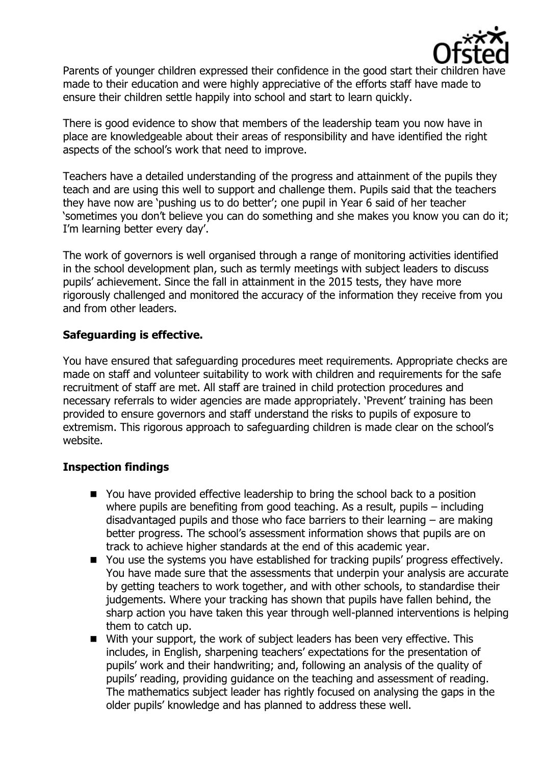

Parents of younger children expressed their confidence in the good start their children made to their education and were highly appreciative of the efforts staff have made to ensure their children settle happily into school and start to learn quickly.

There is good evidence to show that members of the leadership team you now have in place are knowledgeable about their areas of responsibility and have identified the right aspects of the school's work that need to improve.

Teachers have a detailed understanding of the progress and attainment of the pupils they teach and are using this well to support and challenge them. Pupils said that the teachers they have now are 'pushing us to do better'; one pupil in Year 6 said of her teacher 'sometimes you don't believe you can do something and she makes you know you can do it; I'm learning better every day'.

The work of governors is well organised through a range of monitoring activities identified in the school development plan, such as termly meetings with subject leaders to discuss pupils' achievement. Since the fall in attainment in the 2015 tests, they have more rigorously challenged and monitored the accuracy of the information they receive from you and from other leaders.

# **Safeguarding is effective.**

You have ensured that safeguarding procedures meet requirements. Appropriate checks are made on staff and volunteer suitability to work with children and requirements for the safe recruitment of staff are met. All staff are trained in child protection procedures and necessary referrals to wider agencies are made appropriately. 'Prevent' training has been provided to ensure governors and staff understand the risks to pupils of exposure to extremism. This rigorous approach to safeguarding children is made clear on the school's website.

### **Inspection findings**

- You have provided effective leadership to bring the school back to a position where pupils are benefiting from good teaching. As a result, pupils – including disadvantaged pupils and those who face barriers to their learning – are making better progress. The school's assessment information shows that pupils are on track to achieve higher standards at the end of this academic year.
- You use the systems you have established for tracking pupils' progress effectively. You have made sure that the assessments that underpin your analysis are accurate by getting teachers to work together, and with other schools, to standardise their judgements. Where your tracking has shown that pupils have fallen behind, the sharp action you have taken this year through well-planned interventions is helping them to catch up.
- With your support, the work of subject leaders has been very effective. This includes, in English, sharpening teachers' expectations for the presentation of pupils' work and their handwriting; and, following an analysis of the quality of pupils' reading, providing guidance on the teaching and assessment of reading. The mathematics subject leader has rightly focused on analysing the gaps in the older pupils' knowledge and has planned to address these well.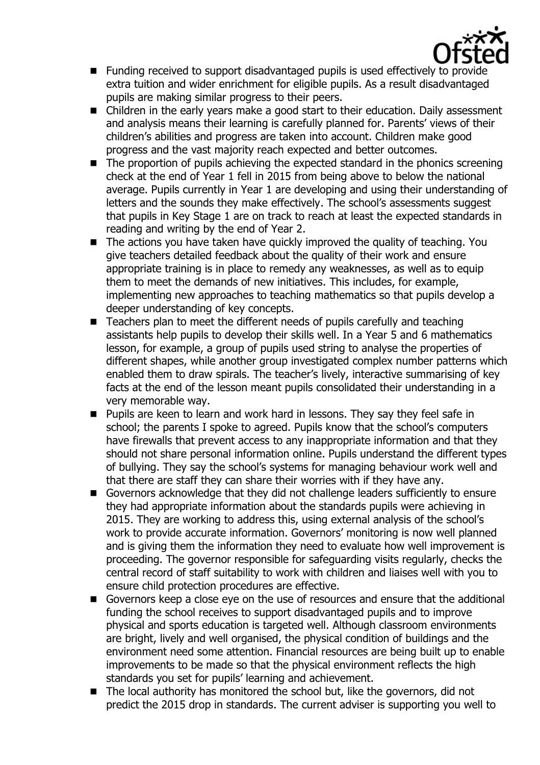

- Funding received to support disadvantaged pupils is used effectively to provide extra tuition and wider enrichment for eligible pupils. As a result disadvantaged pupils are making similar progress to their peers.
- Children in the early years make a good start to their education. Daily assessment and analysis means their learning is carefully planned for. Parents' views of their children's abilities and progress are taken into account. Children make good progress and the vast majority reach expected and better outcomes.
- The proportion of pupils achieving the expected standard in the phonics screening check at the end of Year 1 fell in 2015 from being above to below the national average. Pupils currently in Year 1 are developing and using their understanding of letters and the sounds they make effectively. The school's assessments suggest that pupils in Key Stage 1 are on track to reach at least the expected standards in reading and writing by the end of Year 2.
- The actions you have taken have quickly improved the quality of teaching. You give teachers detailed feedback about the quality of their work and ensure appropriate training is in place to remedy any weaknesses, as well as to equip them to meet the demands of new initiatives. This includes, for example, implementing new approaches to teaching mathematics so that pupils develop a deeper understanding of key concepts.
- Teachers plan to meet the different needs of pupils carefully and teaching assistants help pupils to develop their skills well. In a Year 5 and 6 mathematics lesson, for example, a group of pupils used string to analyse the properties of different shapes, while another group investigated complex number patterns which enabled them to draw spirals. The teacher's lively, interactive summarising of key facts at the end of the lesson meant pupils consolidated their understanding in a very memorable way.
- **Pupils are keen to learn and work hard in lessons. They say they feel safe in** school; the parents I spoke to agreed. Pupils know that the school's computers have firewalls that prevent access to any inappropriate information and that they should not share personal information online. Pupils understand the different types of bullying. They say the school's systems for managing behaviour work well and that there are staff they can share their worries with if they have any.
- Governors acknowledge that they did not challenge leaders sufficiently to ensure they had appropriate information about the standards pupils were achieving in 2015. They are working to address this, using external analysis of the school's work to provide accurate information. Governors' monitoring is now well planned and is giving them the information they need to evaluate how well improvement is proceeding. The governor responsible for safeguarding visits regularly, checks the central record of staff suitability to work with children and liaises well with you to ensure child protection procedures are effective.
- Governors keep a close eye on the use of resources and ensure that the additional funding the school receives to support disadvantaged pupils and to improve physical and sports education is targeted well. Although classroom environments are bright, lively and well organised, the physical condition of buildings and the environment need some attention. Financial resources are being built up to enable improvements to be made so that the physical environment reflects the high standards you set for pupils' learning and achievement.
- The local authority has monitored the school but, like the governors, did not predict the 2015 drop in standards. The current adviser is supporting you well to